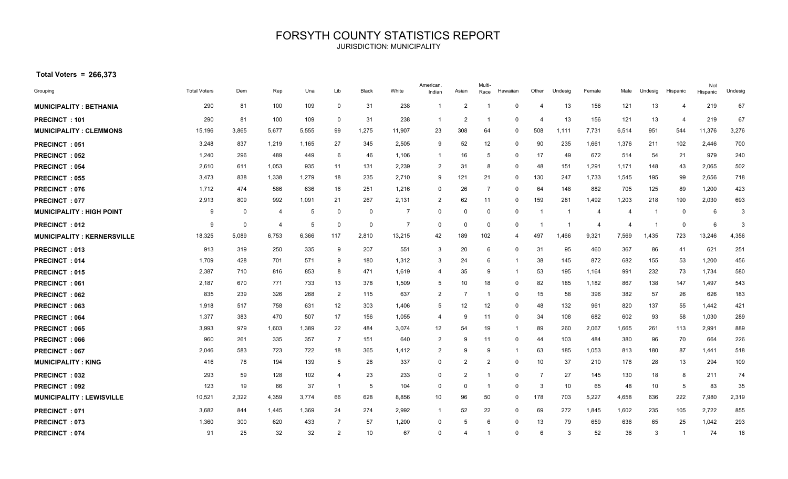## FORSYTH COUNTY STATISTICS REPORT JURISDICTION: MUNICIPALITY

 **Total Voters = 266,373**

| Grouping                          | <b>Total Voters</b> | Dem   | Rep   | Una   | Lib            | Black       | White          | American.<br>Indian | Asian          | Multi-<br>Race | Hawaiian | Other | Undesig | Female | Male  | Undesig | Hispanic                | Not<br>Hispanic | Undesig |
|-----------------------------------|---------------------|-------|-------|-------|----------------|-------------|----------------|---------------------|----------------|----------------|----------|-------|---------|--------|-------|---------|-------------------------|-----------------|---------|
| <b>MUNICIPALITY: BETHANIA</b>     | 290                 | 81    | 100   | 109   | $\mathbf 0$    | 31          | 238            | -1                  | 2              |                | $\Omega$ |       | 13      | 156    | 121   | 13      | $\overline{4}$          | 219             | 67      |
| PRECINCT: 101                     | 290                 | 81    | 100   | 109   | $\mathbf 0$    | 31          | 238            | -1                  | $\overline{2}$ | -1             | $\Omega$ | 4     | 13      | 156    | 121   | 13      | $\overline{4}$          | 219             | 67      |
| <b>MUNICIPALITY: CLEMMONS</b>     | 15,196              | 3,865 | 5,677 | 5,555 | 99             | 1,275       | 11,907         | 23                  | 308            | 64             | 0        | 508   | 1,111   | 7,731  | 6,514 | 951     | 544                     | 11,376          | 3,276   |
| <b>PRECINCT: 051</b>              | 3,248               | 837   | 1,219 | 1,165 | 27             | 345         | 2,505          | 9                   | 52             | 12             | $\Omega$ | 90    | 235     | 1,661  | 1,376 | 211     | 102                     | 2,446           | 700     |
| <b>PRECINCT: 052</b>              | 1,240               | 296   | 489   | 449   | 6              | 46          | 1,106          | $\mathbf{1}$        | 16             | 5              | $\Omega$ | 17    | 49      | 672    | 514   | 54      | 21                      | 979             | 240     |
| PRECINCT: 054                     | 2,610               | 611   | 1,053 | 935   | 11             | 131         | 2,239          | $\overline{2}$      | 31             | 8              | 0        | 48    | 151     | 1,291  | 1,171 | 148     | 43                      | 2,065           | 502     |
| <b>PRECINCT: 055</b>              | 3,473               | 838   | 1,338 | 1,279 | 18             | 235         | 2,710          | 9                   | 121            | 21             | 0        | 130   | 247     | 1,733  | 1,545 | 195     | 99                      | 2,656           | 718     |
| <b>PRECINCT: 076</b>              | 1,712               | 474   | 586   | 636   | 16             | 251         | 1,216          | $\mathbf 0$         | 26             | 7              | $\Omega$ | 64    | 148     | 882    | 705   | 125     | 89                      | 1,200           | 423     |
| <b>PRECINCT: 077</b>              | 2,913               | 809   | 992   | 1,091 | 21             | 267         | 2,131          | $\overline{2}$      | 62             | 11             | 0        | 159   | 281     | 1,492  | 1,203 | 218     | 190                     | 2,030           | 693     |
| <b>MUNICIPALITY: HIGH POINT</b>   | 9                   | 0     | 4     | -5    | 0              | 0           | -7             | $\mathbf 0$         | 0              | $\mathbf 0$    | 0        | -1    | -1      | -4     | 4     | -1      | 0                       | 6               | 3       |
| <b>PRECINCT: 012</b>              | 9                   | 0     | 4     | -5    | $\mathbf 0$    | $\mathbf 0$ | $\overline{7}$ | $\mathbf 0$         | $\mathbf 0$    | $\Omega$       | 0        |       |         | -4     | 4     |         | 0                       | 6               | 3       |
| <b>MUNICIPALITY: KERNERSVILLE</b> | 18,325              | 5,089 | 6,753 | 6,366 | 117            | 2,810       | 13,215         | 42                  | 189            | 102            | 4        | 497   | 1.466   | 9,321  | 7,569 | 1,435   | 723                     | 13,246          | 4,356   |
| <b>PRECINCT: 013</b>              | 913                 | 319   | 250   | 335   | 9              | 207         | 551            | 3                   | 20             | 6              | $\Omega$ | 31    | 95      | 460    | 367   | 86      | 41                      | 621             | 251     |
| <b>PRECINCT: 014</b>              | 1,709               | 428   | 701   | 571   | 9              | 180         | 1,312          | 3                   | 24             | 6              | -1       | 38    | 145     | 872    | 682   | 155     | 53                      | 1,200           | 456     |
| <b>PRECINCT: 015</b>              | 2,387               | 710   | 816   | 853   | 8              | 471         | 1,619          | $\overline{4}$      | 35             | 9              | -1       | 53    | 195     | 1,164  | 991   | 232     | 73                      | 1,734           | 580     |
| <b>PRECINCT: 061</b>              | 2,187               | 670   | 771   | 733   | 13             | 378         | 1,509          | 5                   | 10             | 18             | 0        | 82    | 185     | 1,182  | 867   | 138     | 147                     | 1,497           | 543     |
| <b>PRECINCT: 062</b>              | 835                 | 239   | 326   | 268   | $\overline{2}$ | 115         | 637            | $\overline{2}$      | $\overline{7}$ | -1             | 0        | 15    | 58      | 396    | 382   | 57      | 26                      | 626             | 183     |
| <b>PRECINCT: 063</b>              | 1,918               | 517   | 758   | 631   | 12             | 303         | 1,406          | 5                   | 12             | 12             | $\Omega$ | 48    | 132     | 961    | 820   | 137     | 55                      | 1,442           | 421     |
| <b>PRECINCT: 064</b>              | 1,377               | 383   | 470   | 507   | 17             | 156         | 1,055          | $\overline{4}$      | 9              | 11             | $\Omega$ | 34    | 108     | 682    | 602   | 93      | 58                      | 1,030           | 289     |
| <b>PRECINCT: 065</b>              | 3,993               | 979   | 1,603 | 1,389 | 22             | 484         | 3,074          | 12                  | 54             | 19             | -1       | 89    | 260     | 2,067  | 1,665 | 261     | 113                     | 2,991           | 889     |
| <b>PRECINCT: 066</b>              | 960                 | 261   | 335   | 357   | $\overline{7}$ | 151         | 640            | $\overline{2}$      | 9              | 11             | $\Omega$ | 44    | 103     | 484    | 380   | 96      | 70                      | 664             | 226     |
| <b>PRECINCT: 067</b>              | 2,046               | 583   | 723   | 722   | 18             | 365         | 1,412          | $\overline{2}$      | 9              | 9              | -1       | 63    | 185     | 1,053  | 813   | 180     | 87                      | 1,441           | 518     |
| <b>MUNICIPALITY: KING</b>         | 416                 | 78    | 194   | 139   | 5              | 28          | 337            | $\mathbf 0$         | $\overline{2}$ | $\overline{2}$ | 0        | 10    | 37      | 210    | 178   | 28      | 13                      | 294             | 109     |
| <b>PRECINCT: 032</b>              | 293                 | 59    | 128   | 102   | 4              | 23          | 233            | $\mathbf 0$         | 2              |                | 0        | 7     | 27      | 145    | 130   | 18      | 8                       | 211             | 74      |
| <b>PRECINCT: 092</b>              | 123                 | 19    | 66    | 37    | $\overline{1}$ | 5           | 104            | $\mathbf 0$         | $\mathbf 0$    | -1             | $\Omega$ | 3     | 10      | 65     | 48    | 10      | 5                       | 83              | 35      |
| <b>MUNICIPALITY : LEWISVILLE</b>  | 10,521              | 2,322 | 4,359 | 3,774 | 66             | 628         | 8,856          | 10                  | 96             | 50             | 0        | 178   | 703     | 5,227  | 4,658 | 636     | 222                     | 7,980           | 2,319   |
| <b>PRECINCT: 071</b>              | 3,682               | 844   | 1,445 | 1,369 | 24             | 274         | 2,992          | $\overline{1}$      | 52             | 22             | 0        | 69    | 272     | 1,845  | 1,602 | 235     | 105                     | 2,722           | 855     |
| <b>PRECINCT: 073</b>              | 1,360               | 300   | 620   | 433   | $\overline{7}$ | 57          | 1,200          | $\mathbf 0$         | 5              | 6              | $\Omega$ | 13    | 79      | 659    | 636   | 65      | 25                      | 1,042           | 293     |
| <b>PRECINCT: 074</b>              | 91                  | 25    | 32    | 32    | $\overline{2}$ | 10          | 67             | $\Omega$            |                |                | $\Omega$ | 6     | 3       | 52     | 36    | 3       | $\overline{\mathbf{1}}$ | 74              | 16      |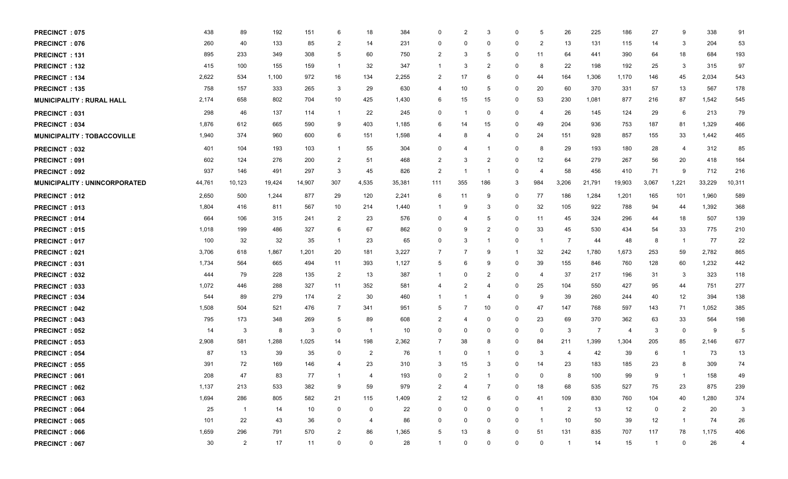| <b>PRECINCT: 075</b>                | 438    | 89             | 192    | 151    | 6              | 18             | 384    | $\Omega$       |                | 3              | 0              | 5                       | 26             | 225    | 186            | 27             | 9              | 338    | 91     |
|-------------------------------------|--------|----------------|--------|--------|----------------|----------------|--------|----------------|----------------|----------------|----------------|-------------------------|----------------|--------|----------------|----------------|----------------|--------|--------|
| <b>PRECINCT: 076</b>                | 260    | 40             | 133    | 85     | $\overline{2}$ | 14             | 231    | 0              | $\Omega$       | 0              | 0              | 2                       | 13             | 131    | 115            | 14             | -3             | 204    | 53     |
| <b>PRECINCT: 131</b>                | 895    | 233            | 349    | 308    | 5              | 60             | 750    | $\overline{2}$ | 3              | 5              | 0              | 11                      | 64             | 441    | 390            | 64             | 18             | 684    | 193    |
| <b>PRECINCT: 132</b>                | 415    | 100            | 155    | 159    | $\overline{1}$ | 32             | 347    | -1             | 3              | 2              | 0              | 8                       | 22             | 198    | 192            | 25             | 3              | 315    | 97     |
| <b>PRECINCT: 134</b>                | 2,622  | 534            | 1,100  | 972    | 16             | 134            | 2,255  | 2              | 17             | 6              | 0              | 44                      | 164            | 1,306  | 1,170          | 146            | 45             | 2,034  | 543    |
| <b>PRECINCT: 135</b>                | 758    | 157            | 333    | 265    | 3              | 29             | 630    | -4             | 10             | 5              | 0              | 20                      | 60             | 370    | 331            | 57             | 13             | 567    | 178    |
| <b>MUNICIPALITY: RURAL HALL</b>     | 2,174  | 658            | 802    | 704    | 10             | 425            | 1,430  | 6              | 15             | 15             | 0              | 53                      | 230            | 1,081  | 877            | 216            | 87             | 1,542  | 545    |
| PRECINCT: 031                       | 298    | 46             | 137    | 114    | $\overline{1}$ | 22             | 245    | 0              | -1             | 0              | 0              | $\overline{4}$          | 26             | 145    | 124            | 29             | 6              | 213    | 79     |
| <b>PRECINCT: 034</b>                | 1,876  | 612            | 665    | 590    | 9              | 403            | 1,185  | 6              | 14             | 15             | 0              | 49                      | 204            | 936    | 753            | 187            | 81             | 1,329  | 466    |
| <b>MUNICIPALITY: TOBACCOVILLE</b>   | 1,940  | 374            | 960    | 600    | 6              | 151            | 1,598  | $\overline{4}$ | 8              | $\overline{4}$ | 0              | 24                      | 151            | 928    | 857            | 155            | 33             | 1,442  | 465    |
| <b>PRECINCT: 032</b>                | 401    | 104            | 193    | 103    | $\overline{1}$ | 55             | 304    | 0              | 4              | -1             | 0              | 8                       | 29             | 193    | 180            | 28             | 4              | 312    | 85     |
| <b>PRECINCT: 091</b>                | 602    | 124            | 276    | 200    | $\overline{2}$ | 51             | 468    | $\overline{2}$ | 3              | $\overline{2}$ | 0              | 12                      | 64             | 279    | 267            | 56             | 20             | 418    | 164    |
| <b>PRECINCT: 092</b>                | 937    | 146            | 491    | 297    | 3              | 45             | 826    | $\overline{2}$ |                | -1             | 0              | $\overline{4}$          | 58             | 456    | 410            | 71             | 9              | 712    | 216    |
| <b>MUNICIPALITY: UNINCORPORATED</b> | 44,761 | 10,123         | 19,424 | 14,907 | 307            | 4,535          | 35,381 | 111            | 355            | 186            | -3             | 984                     | 3,206          | 21,791 | 19,903         | 3,067          | 1,221          | 33,229 | 10,311 |
| <b>PRECINCT: 012</b>                | 2,650  | 500            | 1,244  | 877    | 29             | 120            | 2,241  | 6              | 11             | 9              | 0              | 77                      | 186            | 1,284  | 1,201          | 165            | 101            | 1,960  | 589    |
| <b>PRECINCT: 013</b>                | 1,804  | 416            | 811    | 567    | 10             | 214            | 1,440  | $\overline{1}$ | 9              | 3              | $\overline{0}$ | 32                      | 105            | 922    | 788            | 94             | 44             | 1,392  | 368    |
| <b>PRECINCT: 014</b>                | 664    | 106            | 315    | 241    | $\overline{2}$ | 23             | 576    | 0              | 4              | 5              | 0              | 11                      | 45             | 324    | 296            | 44             | 18             | 507    | 139    |
| <b>PRECINCT: 015</b>                | 1,018  | 199            | 486    | 327    | 6              | 67             | 862    | 0              | -9             | $\overline{2}$ | 0              | 33                      | 45             | 530    | 434            | 54             | 33             | 775    | 210    |
| <b>PRECINCT: 017</b>                | 100    | 32             | 32     | 35     | $\overline{1}$ | 23             | 65     | 0              | 3              | -1             | 0              | $\overline{\mathbf{1}}$ | $\overline{7}$ | 44     | 48             | 8              | $\overline{1}$ | 77     | 22     |
| <b>PRECINCT: 021</b>                | 3,706  | 618            | 1,867  | 1,201  | 20             | 181            | 3,227  | -7             | -7             | 9              | -1             | 32                      | 242            | 1,780  | 1,673          | 253            | 59             | 2,782  | 865    |
| <b>PRECINCT: 031</b>                | 1,734  | 564            | 665    | 494    | 11             | 393            | 1,127  | -5             | 6              | 9              | $\mathbf 0$    | 39                      | 155            | 846    | 760            | 128            | 60             | 1,232  | 442    |
| <b>PRECINCT: 032</b>                | 444    | 79             | 228    | 135    | $\overline{2}$ | 13             | 387    | -1             | $\Omega$       | 2              | 0              | $\overline{4}$          | 37             | 217    | 196            | 31             | -3             | 323    | 118    |
| <b>PRECINCT: 033</b>                | 1,072  | 446            | 288    | 327    | 11             | 352            | 581    | 4              |                | 4              | 0              | 25                      | 104            | 550    | 427            | 95             | 44             | 751    | 277    |
| <b>PRECINCT: 034</b>                | 544    | 89             | 279    | 174    | $\overline{2}$ | 30             | 460    | -1             |                | $\overline{4}$ | $\mathbf 0$    | 9                       | 39             | 260    | 244            | 40             | 12             | 394    | 138    |
| <b>PRECINCT: 042</b>                | 1,508  | 504            | 521    | 476    | $\overline{7}$ | 341            | 951    | -5             |                | 10             | 0              | 47                      | 147            | 768    | 597            | 143            | 71             | 1,052  | 385    |
| <b>PRECINCT: 043</b>                | 795    | 173            | 348    | 269    | 5              | 89             | 608    | 2              | 4              | $\Omega$       | 0              | 23                      | 69             | 370    | 362            | 63             | 33             | 564    | 198    |
| <b>PRECINCT: 052</b>                | 14     | 3              | 8      | 3      | $\mathbf 0$    | $\overline{1}$ | 10     | 0              | 0              | 0              | 0              | $\mathbf 0$             | 3              | -7     | $\overline{4}$ | 3              | 0              | 9      | 5      |
| <b>PRECINCT: 053</b>                | 2,908  | 581            | 1,288  | 1,025  | 14             | 198            | 2,362  | 7              | 38             | 8              | 0              | 84                      | 211            | 1,399  | 1,304          | 205            | 85             | 2,146  | 677    |
| <b>PRECINCT: 054</b>                | 87     | 13             | 39     | 35     | 0              | 2              | 76     | -1             | 0              | -1             | 0              | 3                       | 4              | 42     | 39             | 6              | -1             | 73     | 13     |
| <b>PRECINCT: 055</b>                | 391    | 72             | 169    | 146    | 4              | 23             | 310    | -3             | 15             | 3              | 0              | 14                      | 23             | 183    | 185            | 23             |                | 309    | 74     |
| PRECINCT: 061                       | 208    | 47             | 83     | 77     | $\overline{1}$ | $\overline{4}$ | 193    | 0              | 2              | -1             | $\Omega$       | $\mathbf{0}$            | 8              | 100    | 99             | 9              | $\mathbf{1}$   | 158    | 49     |
| <b>PRECINCT: 062</b>                | 1,137  | 213            | 533    | 382    | 9              | 59             | 979    | 2              | $\overline{4}$ | -7             | $\mathbf 0$    | 18                      | 68             | 535    | 527            | 75             | 23             | 875    | 239    |
| PRECINCT: 063                       | 1,694  | 286            | 805    | 582    | 21             | 115            | 1,409  | $\overline{2}$ | 12             | 6              | 0              | 41                      | 109            | 830    | 760            | 104            | 40             | 1,280  | 374    |
| <b>PRECINCT: 064</b>                | 25     | $\overline{1}$ | 14     | 10     | $\mathbf 0$    | 0              | 22     | 0              | 0              | 0              | $\mathbf 0$    | $\overline{\mathbf{1}}$ | $\overline{2}$ | 13     | 12             | 0              | $\overline{2}$ | 20     | 3      |
| <b>PRECINCT: 065</b>                | 101    | 22             | 43     | 36     | 0              | 4              | 86     | 0              | 0              | 0              | $\mathbf 0$    | -1                      | 10             | 50     | 39             | 12             | $\overline{1}$ | 74     | 26     |
| <b>PRECINCT: 066</b>                | 1,659  | 296            | 791    | 570    | $\overline{2}$ | 86             | 1,365  | 5              | 13             | 8              | 0              | 51                      | 131            | 835    | 707            | 117            | 78             | 1,175  | 406    |
| <b>PRECINCT: 067</b>                | 30     | $\overline{2}$ | 17     | 11     | $\mathbf 0$    | 0              | 28     | $\overline{1}$ | 0              | 0              | 0              | $\mathbf 0$             | $\overline{1}$ | 14     | 15             | $\overline{1}$ | $\mathbf 0$    | 26     | 4      |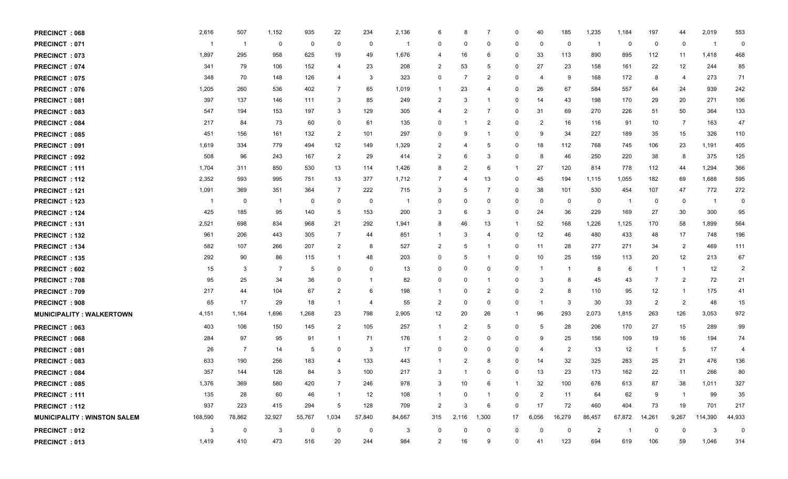| <b>PRECINCT: 068</b>                | 2,616   | 507            | 1,152  | 935          | 22             | 234            | 2,136  | 6                       | 8              | 7              | 0                       | 40             | 185            | 1,235          | 1,184          | 197            | 44             | 2,019   | 553            |
|-------------------------------------|---------|----------------|--------|--------------|----------------|----------------|--------|-------------------------|----------------|----------------|-------------------------|----------------|----------------|----------------|----------------|----------------|----------------|---------|----------------|
| <b>PRECINCT: 071</b>                |         | $\overline{1}$ | 0      | $\mathbf 0$  | 0              | 0              |        | 0                       | 0              | 0              | 0                       | 0              | 0              | - 1            | 0              | 0              | 0              | - 1     | 0              |
| PRECINCT: 073                       | 1,897   | 295            | 958    | 625          | 19             | 49             | 1,676  | -4                      | 16             | 6              | 0                       | 33             | 113            | 890            | 895            | 112            | 11             | 1,418   | 468            |
| <b>PRECINCT: 074</b>                | 341     | 79             | 106    | 152          | $\overline{4}$ | 23             | 208    | $\overline{2}$          | 53             | 5              | 0                       | 27             | 23             | 158            | 161            | 22             | 12             | 244     | 85             |
| PRECINCT: 075                       | 348     | 70             | 148    | 126          | $\overline{4}$ | 3              | 323    | 0                       | -7             | 2              | 0                       | $\overline{4}$ | 9              | 168            | 172            | 8              | $\overline{4}$ | 273     | 71             |
| <b>PRECINCT: 076</b>                | 1,205   | 260            | 536    | 402          | 7              | 65             | 1,019  | -1                      | 23             | 4              | 0                       | 26             | 67             | 584            | 557            | 64             | 24             | 939     | 242            |
| PRECINCT: 081                       | 397     | 137            | 146    | 111          | 3              | 85             | 249    | $\overline{2}$          | 3              |                | 0                       | 14             | 43             | 198            | 170            | 29             | 20             | 271     | 106            |
| PRECINCT: 083                       | 547     | 194            | 153    | 197          | 3              | 129            | 305    | -4                      | $\overline{2}$ | 7              | 0                       | 31             | 69             | 270            | 226            | 51             | 50             | 364     | 133            |
| <b>PRECINCT: 084</b>                | 217     | 84             | 73     | 60           | $\mathbf 0$    | 61             | 135    | 0                       |                | $\overline{2}$ | 0                       | $\overline{2}$ | 16             | 116            | 91             | 10             | 7              | 163     | 47             |
| <b>PRECINCT: 085</b>                | 451     | 156            | 161    | 132          | $\overline{2}$ | 101            | 297    | 0                       | 9              | -1             | 0                       | 9              | 34             | 227            | 189            | 35             | 15             | 326     | 110            |
| <b>PRECINCT: 091</b>                | 1,619   | 334            | 779    | 494          | 12             | 149            | 1,329  | 2                       |                | 5              | 0                       | 18             | 112            | 768            | 745            | 106            | 23             | 1,191   | 405            |
| <b>PRECINCT: 092</b>                | 508     | 96             | 243    | 167          | $\overline{2}$ | 29             | 414    | $\overline{2}$          | 6              | 3              | 0                       | 8              | 46             | 250            | 220            | 38             | 8              | 375     | 125            |
| <b>PRECINCT: 111</b>                | 1,704   | 311            | 850    | 530          | 13             | 114            | 1,426  | 8                       | $\overline{2}$ | 6              |                         | 27             | 120            | 814            | 778            | 112            | 44             | 1,294   | 366            |
| <b>PRECINCT: 112</b>                | 2,352   | 593            | 995    | 751          | 13             | 377            | 1,712  | 7                       | -4             | 13             | 0                       | 45             | 194            | 1,115          | 1,055          | 182            | 69             | 1,688   | 595            |
| PRECINCT: 121                       | 1,091   | 369            | 351    | 364          | $\overline{7}$ | 222            | 715    | -3                      | 5              | 7              | 0                       | 38             | 101            | 530            | 454            | 107            | 47             | 772     | 272            |
| <b>PRECINCT: 123</b>                |         | 0              | -1     | $\mathbf{0}$ | $\mathbf 0$    | 0              | - 1    | 0                       | 0              | $\Omega$       | 0                       | 0              | 0              | $\mathbf 0$    | $\overline{1}$ | 0              | 0              | -1      | 0              |
| <b>PRECINCT: 124</b>                | 425     | 185            | 95     | 140          | 5              | 153            | 200    | 3                       | 6              | 3              | 0                       | 24             | 36             | 229            | 169            | 27             | 30             | 300     | 95             |
| PRECINCT: 131                       | 2,521   | 698            | 834    | 968          | 21             | 292            | 1,941  | 8                       | 46             | 13             |                         | 52             | 168            | 1,226          | 1,125          | 170            | 58             | 1,899   | 564            |
| PRECINCT: 132                       | 961     | 206            | 443    | 305          | $\overline{7}$ | 44             | 851    | -1                      | 3              | 4              | $\mathbf 0$             | 12             | 46             | 480            | 433            | 48             | 17             | 748     | 196            |
| PRECINCT: 134                       | 582     | 107            | 266    | 207          | $\overline{2}$ | 8              | 527    | $\overline{2}$          | -5             | -1             | 0                       | 11             | 28             | 277            | 271            | 34             | $\overline{2}$ | 469     | 111            |
| <b>PRECINCT: 135</b>                | 292     | 90             | 86     | 115          | $\overline{1}$ | 48             | 203    | 0                       | 5              | -1             | 0                       | 10             | 25             | 159            | 113            | 20             | 12             | 213     | 67             |
| <b>PRECINCT: 602</b>                | 15      | 3              | 7      | 5            | 0              | 0              | 13     | 0                       | 0              | 0              | 0                       | $\mathbf 1$    | $\mathbf 1$    | 8              | 6              | $\mathbf 1$    | $\mathbf{1}$   | 12      | $\overline{2}$ |
| <b>PRECINCT: 708</b>                | 95      | 25             | 34     | 36           | $\mathbf 0$    | -1             | 82     | 0                       | 0              | -1             | 0                       | 3              | 8              | 45             | 43             | 7              | $\overline{2}$ | 72      | 21             |
| <b>PRECINCT: 709</b>                | 217     | 44             | 104    | 67           | $\overline{2}$ | 6              | 198    | -1                      | 0              | 2              | 0                       | 2              | 8              | 110            | 95             | 12             | $\mathbf{1}$   | 175     | 41             |
| PRECINCT: 908                       | 65      | 17             | 29     | 18           | $\overline{1}$ | $\overline{4}$ | 55     | $\overline{2}$          | 0              | 0              | 0                       | $\mathbf{1}$   | 3              | 30             | 33             | $\overline{2}$ | $\overline{2}$ | 48      | 15             |
| <b>MUNICIPALITY: WALKERTOWN</b>     | 4,151   | 1,164          | 1,696  | 1,268        | 23             | 798            | 2,905  | 12                      | 20             | 26             | -1                      | 96             | 293            | 2,073          | 1,815          | 263            | 126            | 3,053   | 972            |
| PRECINCT: 063                       | 403     | 106            | 150    | 145          | $\overline{2}$ | 105            | 257    | $\overline{1}$          | $\overline{2}$ | 5              | 0                       | 5              | 28             | 206            | 170            | 27             | 15             | 289     | 99             |
| <b>PRECINCT: 068</b>                | 284     | 97             | 95     | 91           | $\overline{1}$ | 71             | 176    | -1                      | 2              | 0              | 0                       | 9              | 25             | 156            | 109            | 19             | 16             | 194     | 74             |
| PRECINCT: 081                       | 26      | 7              | 14     | 5            | $\overline{0}$ | 3              | 17     | 0                       | 0              | $\Omega$       | 0                       | 4              | $\overline{2}$ | 13             | 12             | $\overline{1}$ | 5              | 17      | $\overline{4}$ |
| <b>PRECINCT: 083</b>                | 633     | 190            | 256    | 183          | $\overline{4}$ | 133            | 443    | -1                      | 2              | 8              | 0                       | 14             | 32             | 325            | 283            | 25             | 21             | 476     | 136            |
| <b>PRECINCT: 084</b>                | 357     | 144            | 126    | 84           | -3             | 100            | 217    | 3                       |                | $\Omega$       | 0                       | 13             | 23             | 173            | 162            | 22             | 11             | 266     | 80             |
| <b>PRECINCT: 085</b>                | 1,376   | 369            | 580    | 420          | $\overline{7}$ | 246            | 978    | 3                       | 10             | 6              | $\overline{\mathbf{1}}$ | 32             | 100            | 676            | 613            | 87             | 38             | 1,011   | 327            |
| PRECINCT: 111                       | 135     | 28             | 60     | 46           | $\overline{1}$ | 12             | 108    | -1                      | 0              |                | 0                       | 2              | 11             | 64             | 62             | 9              | $\mathbf{1}$   | 99      | 35             |
| <b>PRECINCT: 112</b>                | 937     | 223            | 415    | 294          | 5              | 128            | 709    | $\overline{c}$          | 3              | 6              | $\mathbf{0}$            | 17             | 72             | 460            | 404            | 73             | 19             | 701     | 217            |
| <b>MUNICIPALITY : WINSTON SALEM</b> | 168,590 | 78,862         | 32,927 | 55,767       | 1,034          | 57,840         | 84,667 | 315                     | 2,116          | 1,300          | 17                      | 6,056          | 16,279         | 86,457         | 67,872         | 14,261         | 9,267          | 114,390 | 44,933         |
| <b>PRECINCT: 012</b>                | 3       | $\mathbf 0$    | 3      | $\mathbf 0$  | $\mathbf 0$    | 0              | 3      | $\overline{\mathbf{0}}$ | $\mathbf 0$    | $\mathbf 0$    | $\mathbf{0}$            | 0              | 0              | $\overline{2}$ | $\overline{1}$ | 0              | $\mathbf 0$    | 3       | $\overline{0}$ |
| PRECINCT: 013                       | 1,419   | 410            | 473    | 516          | 20             | 244            | 984    | 2                       | 16             | 9              | 0                       | 41             | 123            | 694            | 619            | 106            | 59             | 1,046   | 314            |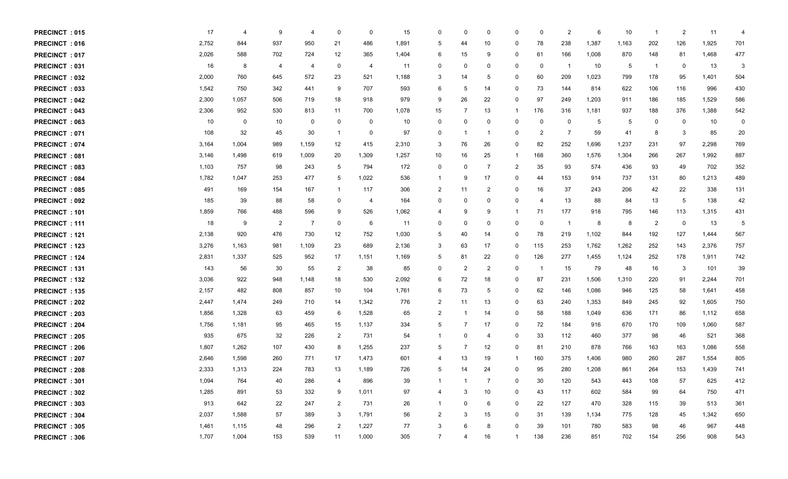| PRECINCT: 015        | 17    | 4     | -9             | 4              | 0              | 0     | 15    | 0              | 0              | $\Omega$       | $\Omega$    | $\mathbf 0$ | $\overline{2}$ | 6     | 10    | -1                      | $\overline{2}$ | 11    | $\overline{4}$ |
|----------------------|-------|-------|----------------|----------------|----------------|-------|-------|----------------|----------------|----------------|-------------|-------------|----------------|-------|-------|-------------------------|----------------|-------|----------------|
| <b>PRECINCT: 016</b> | 2,752 | 844   | 937            | 950            | 21             | 486   | 1,891 | 5              | 44             | 10             | 0           | 78          | 238            | 1,387 | 1,163 | 202                     | 126            | 1,925 | 701            |
| <b>PRECINCT: 017</b> | 2,026 | 588   | 702            | 724            | 12             | 365   | 1,404 | 6              | 15             | 9              | 0           | 61          | 166            | 1,008 | 870   | 148                     | 81             | 1,468 | 477            |
| <b>PRECINCT: 031</b> | 16    | 8     | 4              | -4             | 0              | 4     | 11    | $\mathbf 0$    | 0              | $\Omega$       | 0           | 0           | - 1            | 10    | 5     | $\overline{\mathbf{1}}$ | 0              | 13    | 3              |
| <b>PRECINCT: 032</b> | 2,000 | 760   | 645            | 572            | 23             | 521   | 1,188 | 3              | 14             | 5              | 0           | 60          | 209            | 1,023 | 799   | 178                     | 95             | 1,401 | 504            |
| PRECINCT: 033        | 1,542 | 750   | 342            | 441            | 9              | 707   | 593   | 6              | 5              | 14             | 0           | 73          | 144            | 814   | 622   | 106                     | 116            | 996   | 430            |
| <b>PRECINCT: 042</b> | 2,300 | 1,057 | 506            | 719            | 18             | 918   | 979   | 9              | 26             | 22             | 0           | 97          | 249            | 1,203 | 911   | 186                     | 185            | 1,529 | 586            |
| <b>PRECINCT: 043</b> | 2,306 | 952   | 530            | 813            | 11             | 700   | 1,078 | 15             | -7             | 13             | -1          | 176         | 316            | 1,181 | 937   | 188                     | 376            | 1,388 | 542            |
| <b>PRECINCT: 063</b> | 10    | 0     | 10             | 0              | 0              | 0     | 10    | 0              | 0              | 0              | 0           | 0           | $\mathbf 0$    | 5     | 5     | 0                       | $\Omega$       | 10    | 0              |
| <b>PRECINCT: 071</b> | 108   | 32    | 45             | 30             | $\overline{1}$ | 0     | 97    | $\overline{0}$ | - 1            | -1             | 0           | 2           | 7              | 59    | 41    | 8                       | 3              | 85    | 20             |
| <b>PRECINCT: 074</b> | 3,164 | 1,004 | 989            | 1,159          | 12             | 415   | 2,310 | -3             | 76             | 26             | 0           | 82          | 252            | 1,696 | 1,237 | 231                     | 97             | 2,298 | 769            |
| <b>PRECINCT: 081</b> | 3,146 | 1,498 | 619            | 1,009          | 20             | 1,309 | 1,257 | 10             | 16             | 25             | -1          | 168         | 360            | 1,576 | 1,304 | 266                     | 267            | 1,992 | 887            |
| <b>PRECINCT: 083</b> | 1,103 | 757   | 98             | 243            | 5              | 794   | 172   | 0              | 0              | -7             | 2           | 35          | 93             | 574   | 436   | 93                      | 49             | 702   | 352            |
| <b>PRECINCT: 084</b> | 1,782 | 1,047 | 253            | 477            | 5              | 1,022 | 536   | -1             | 9              | 17             | 0           | 44          | 153            | 914   | 737   | 131                     | 80             | 1,213 | 489            |
| <b>PRECINCT: 085</b> | 491   | 169   | 154            | 167            | $\overline{1}$ | 117   | 306   | 2              | 11             | 2              | 0           | 16          | 37             | 243   | 206   | 42                      | 22             | 338   | 131            |
| <b>PRECINCT: 092</b> | 185   | 39    | 88             | 58             | 0              | 4     | 164   | 0              | 0              | $\Omega$       | 0           | 4           | 13             | 88    | 84    | 13                      | 5              | 138   | 42             |
| <b>PRECINCT: 101</b> | 1,859 | 766   | 488            | 596            | 9              | 526   | 1,062 | 4              | 9              | 9              |             | 71          | 177            | 918   | 795   | 146                     | 113            | 1,315 | 431            |
| <b>PRECINCT: 111</b> | 18    | 9     | $\overline{2}$ | $\overline{7}$ | $\mathbf 0$    | 6     | 11    | 0              | 0              | 0              | 0           | 0           | $\overline{1}$ | 8     | 8     | $\overline{2}$          | $\Omega$       | 13    | 5              |
| <b>PRECINCT: 121</b> | 2,138 | 920   | 476            | 730            | 12             | 752   | 1,030 | 5              | 40             | 14             | 0           | 78          | 219            | 1,102 | 844   | 192                     | 127            | 1,444 | 567            |
| PRECINCT: 123        | 3,276 | 1,163 | 981            | 1,109          | 23             | 689   | 2,136 | 3              | 63             | 17             | 0           | 115         | 253            | 1,762 | 1,262 | 252                     | 143            | 2,376 | 757            |
| <b>PRECINCT: 124</b> | 2,831 | 1,337 | 525            | 952            | 17             | 1,151 | 1,169 | 5              | 81             | 22             | 0           | 126         | 277            | 1,455 | 1,124 | 252                     | 178            | 1,911 | 742            |
| <b>PRECINCT: 131</b> | 143   | 56    | 30             | 55             | $\overline{2}$ | 38    | 85    | 0              | $\overline{2}$ | 2              | 0           | $\mathbf 1$ | 15             | 79    | 48    | 16                      | -3             | 101   | 39             |
| <b>PRECINCT: 132</b> | 3,036 | 922   | 948            | 1,148          | 18             | 530   | 2,092 | 6              | 72             | 18             | 0           | 87          | 231            | 1,506 | 1,310 | 220                     | 91             | 2,244 | 701            |
| <b>PRECINCT: 135</b> | 2,157 | 482   | 808            | 857            | 10             | 104   | 1,761 | 6              | 73             | 5              | 0           | 62          | 146            | 1,086 | 946   | 125                     | 58             | 1,641 | 458            |
| <b>PRECINCT: 202</b> | 2,447 | 1,474 | 249            | 710            | 14             | 1,342 | 776   | 2              | 11             | 13             | 0           | 63          | 240            | 1,353 | 849   | 245                     | 92             | 1,605 | 750            |
| <b>PRECINCT: 203</b> | 1,856 | 1,328 | 63             | 459            | 6              | 1,528 | 65    | 2              |                | 14             | 0           | 58          | 188            | 1,049 | 636   | 171                     | 86             | 1,112 | 658            |
| <b>PRECINCT: 204</b> | 1,756 | 1,181 | 95             | 465            | 15             | 1,137 | 334   | 5              | -7             | 17             | 0           | 72          | 184            | 916   | 670   | 170                     | 109            | 1,060 | 587            |
| <b>PRECINCT: 205</b> | 935   | 675   | 32             | 226            | $\overline{2}$ | 731   | 54    | -1             | 0              | $\overline{a}$ | 0           | 33          | 112            | 460   | 377   | 98                      | 46             | 521   | 368            |
| <b>PRECINCT: 206</b> | 1,807 | 1,262 | 107            | 430            | 8              | 1,255 | 237   | 5              | -7             | 12             | 0           | 81          | 210            | 878   | 766   | 163                     | 163            | 1,086 | 558            |
| <b>PRECINCT: 207</b> | 2,646 | 1,598 | 260            | 771            | 17             | 1,473 | 601   | 4              | 13             | 19             | -1          | 160         | 375            | 1,406 | 980   | 260                     | 287            | 1,554 | 805            |
| <b>PRECINCT: 208</b> | 2,333 | 1,313 | 224            | 783            | 13             | 1,189 | 726   | 5              | 14             | 24             | 0           | 95          | 280            | 1,208 | 861   | 264                     | 153            | 1,439 | 741            |
| PRECINCT: 301        | 1,094 | 764   | 40             | 286            | $\overline{4}$ | 896   | 39    |                |                |                | $\mathbf 0$ | 30          | 120            | 543   | 443   | 108                     | 57             | 625   | 412            |
| <b>PRECINCT: 302</b> | 1,285 | 891   | 53             | 332            | 9              | 1,011 | 97    | 4              | 3              | 10             | $\Omega$    | 43          | 117            | 602   | 584   | 99                      | 64             | 750   | 471            |
| <b>PRECINCT: 303</b> | 913   | 642   | 22             | 247            | 2              | 731   | 26    |                | 0              | 6              | 0           | 22          | 127            | 470   | 328   | 115                     | 39             | 513   | 361            |
| <b>PRECINCT: 304</b> | 2,037 | 1,588 | 57             | 389            | 3              | 1,791 | 56    | $\overline{2}$ | 3              | 15             | 0           | 31          | 139            | 1,134 | 775   | 128                     | 45             | 1,342 | 650            |
| <b>PRECINCT: 305</b> | 1,461 | 1,115 | 48             | 296            | $\overline{2}$ | 1,227 | 77    | -3             | 6              | 8              | 0           | 39          | 101            | 780   | 583   | 98                      | 46             | 967   | 448            |
| <b>PRECINCT: 306</b> | 1,707 | 1,004 | 153            | 539            | 11             | 1,000 | 305   | $\overline{7}$ | 4              | 16             | -1          | 138         | 236            | 851   | 702   | 154                     | 256            | 908   | 543            |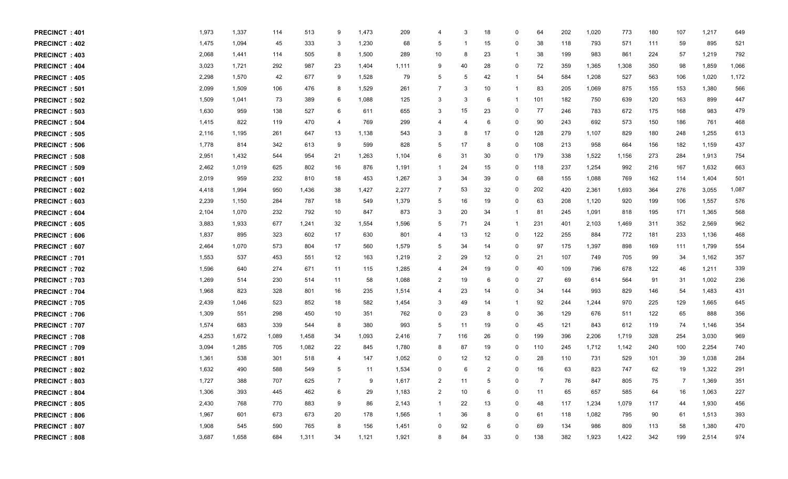| PRECINCT: 401        | 1,973 | 1,337 | 114   | 513   | 9              | 1,473 | 209   | 4              | 3   | 18 | 0            | 64  | 202 | 1,020 | 773   | 180 | 107 | 1,217 | 649   |
|----------------------|-------|-------|-------|-------|----------------|-------|-------|----------------|-----|----|--------------|-----|-----|-------|-------|-----|-----|-------|-------|
| PRECINCT: 402        | 1,475 | 1,094 | 45    | 333   | 3              | 1,230 | 68    | 5              | -1  | 15 | 0            | 38  | 118 | 793   | 571   | 111 | 59  | 895   | 521   |
| <b>PRECINCT: 403</b> | 2,068 | 1,441 | 114   | 505   | 8              | 1,500 | 289   | 10             | 8   | 23 | -1           | 38  | 199 | 983   | 861   | 224 | 57  | 1,219 | 792   |
| PRECINCT: 404        | 3,023 | 1,721 | 292   | 987   | 23             | 1,404 | 1,111 | 9              | 40  | 28 | 0            | 72  | 359 | 1,365 | 1,308 | 350 | 98  | 1,859 | 1,066 |
| <b>PRECINCT: 405</b> | 2,298 | 1,570 | 42    | 677   | 9              | 1,528 | 79    | 5              | 5   | 42 | -1           | 54  | 584 | 1,208 | 527   | 563 | 106 | 1,020 | 1,172 |
| PRECINCT: 501        | 2,099 | 1,509 | 106   | 476   | 8              | 1,529 | 261   | $\overline{7}$ | 3   | 10 | -1           | 83  | 205 | 1,069 | 875   | 155 | 153 | 1,380 | 566   |
| PRECINCT: 502        | 1,509 | 1,041 | 73    | 389   | 6              | 1,088 | 125   | 3              | 3   | 6  | -1           | 101 | 182 | 750   | 639   | 120 | 163 | 899   | 447   |
| <b>PRECINCT: 503</b> | 1,630 | 959   | 138   | 527   | 6              | 611   | 655   | 3              | 15  | 23 | 0            | 77  | 246 | 783   | 672   | 175 | 168 | 983   | 479   |
| <b>PRECINCT: 504</b> | 1,415 | 822   | 119   | 470   | $\overline{4}$ | 769   | 299   | 4              | 4   | 6  | $\Omega$     | 90  | 243 | 692   | 573   | 150 | 186 | 761   | 468   |
| <b>PRECINCT: 505</b> | 2,116 | 1,195 | 261   | 647   | 13             | 1,138 | 543   | 3              | 8   | 17 | 0            | 128 | 279 | 1,107 | 829   | 180 | 248 | 1,255 | 613   |
| <b>PRECINCT: 506</b> | 1,778 | 814   | 342   | 613   | 9              | 599   | 828   | 5              | 17  | 8  | 0            | 108 | 213 | 958   | 664   | 156 | 182 | 1,159 | 437   |
| <b>PRECINCT: 508</b> | 2,951 | 1,432 | 544   | 954   | 21             | 1,263 | 1,104 | 6              | 31  | 30 | 0            | 179 | 338 | 1,522 | 1,156 | 273 | 284 | 1,913 | 754   |
| <b>PRECINCT: 509</b> | 2,462 | 1,019 | 625   | 802   | 16             | 876   | 1,191 | -1             | 24  | 15 | 0            | 118 | 237 | 1,254 | 992   | 216 | 167 | 1,632 | 663   |
| <b>PRECINCT: 601</b> | 2,019 | 959   | 232   | 810   | 18             | 453   | 1,267 | 3              | 34  | 39 | 0            | 68  | 155 | 1,088 | 769   | 162 | 114 | 1,404 | 501   |
| <b>PRECINCT: 602</b> | 4,418 | 1,994 | 950   | 1,436 | 38             | 1,427 | 2,277 | 7              | 53  | 32 | 0            | 202 | 420 | 2,361 | 1,693 | 364 | 276 | 3,055 | 1,087 |
| <b>PRECINCT: 603</b> | 2,239 | 1,150 | 284   | 787   | 18             | 549   | 1,379 | 5              | 16  | 19 | 0            | 63  | 208 | 1,120 | 920   | 199 | 106 | 1,557 | 576   |
| <b>PRECINCT: 604</b> | 2,104 | 1,070 | 232   | 792   | 10             | 847   | 873   | -3             | 20  | 34 | -1           | 81  | 245 | 1,091 | 818   | 195 | 171 | 1,365 | 568   |
| <b>PRECINCT: 605</b> | 3,883 | 1,933 | 677   | 1,241 | 32             | 1,554 | 1,596 | 5              | 71  | 24 | -1           | 231 | 401 | 2,103 | 1,469 | 311 | 352 | 2,569 | 962   |
| PRECINCT: 606        | 1,837 | 895   | 323   | 602   | 17             | 630   | 801   | 4              | 13  | 12 | 0            | 122 | 255 | 884   | 772   | 181 | 233 | 1,136 | 468   |
| PRECINCT: 607        | 2,464 | 1,070 | 573   | 804   | 17             | 560   | 1,579 | 5              | 34  | 14 | 0            | 97  | 175 | 1,397 | 898   | 169 | 111 | 1,799 | 554   |
| PRECINCT: 701        | 1,553 | 537   | 453   | 551   | 12             | 163   | 1,219 | 2              | 29  | 12 | 0            | 21  | 107 | 749   | 705   | 99  | 34  | 1,162 | 357   |
| PRECINCT: 702        | 1,596 | 640   | 274   | 671   | 11             | 115   | 1,285 | 4              | 24  | 19 | 0            | 40  | 109 | 796   | 678   | 122 | 46  | 1,211 | 339   |
| <b>PRECINCT: 703</b> | 1,269 | 514   | 230   | 514   | 11             | 58    | 1,088 | 2              | 19  | 6  | 0            | 27  | 69  | 614   | 564   | 91  | 31  | 1,002 | 236   |
| PRECINCT: 704        | 1,968 | 823   | 328   | 801   | 16             | 235   | 1,514 | $\overline{4}$ | 23  | 14 | 0            | 34  | 144 | 993   | 829   | 146 | 54  | 1,483 | 431   |
| <b>PRECINCT: 705</b> | 2,439 | 1,046 | 523   | 852   | 18             | 582   | 1,454 | -3             | 49  | 14 | -1           | 92  | 244 | 1,244 | 970   | 225 | 129 | 1,665 | 645   |
| <b>PRECINCT: 706</b> | 1,309 | 551   | 298   | 450   | 10             | 351   | 762   | 0              | 23  | 8  | 0            | 36  | 129 | 676   | 511   | 122 | 65  | 888   | 356   |
| PRECINCT: 707        | 1,574 | 683   | 339   | 544   | 8              | 380   | 993   | 5              | 11  | 19 | 0            | 45  | 121 | 843   | 612   | 119 | 74  | 1,146 | 354   |
| <b>PRECINCT: 708</b> | 4,253 | 1,672 | 1,089 | 1,458 | 34             | 1,093 | 2,416 | -7             | 116 | 26 | 0            | 199 | 396 | 2,206 | 1,719 | 328 | 254 | 3,030 | 969   |
| PRECINCT: 709        | 3,094 | 1,285 | 705   | 1,082 | 22             | 845   | 1,780 | 8              | 87  | 19 | 0            | 110 | 245 | 1,712 | 1,142 | 240 | 100 | 2,254 | 740   |
| <b>PRECINCT: 801</b> | 1,361 | 538   | 301   | 518   | 4              | 147   | 1,052 | 0              | 12  | 12 | $\Omega$     | 28  | 110 | 731   | 529   | 101 | 39  | 1,038 | 284   |
| <b>PRECINCT: 802</b> | 1,632 | 490   | 588   | 549   | 5              | 11    | 1,534 | 0              | 6   | 2  | $\Omega$     | 16  | 63  | 823   | 747   | 62  | 19  | 1,322 | 291   |
| PRECINCT: 803        | 1,727 | 388   | 707   | 625   |                | 9     | 1,617 | $\overline{2}$ | 11  |    | $\Omega$     |     | 76  | 847   | 805   | 75  |     | 1,369 | 351   |
| PRECINCT: 804        | 1,306 | 393   | 445   | 462   | 6              | 29    | 1,183 | 2              | 10  | 6  | 0            | 11  | 65  | 657   | 585   | 64  | 16  | 1,063 | 227   |
| <b>PRECINCT: 805</b> | 2,430 | 768   | 770   | 883   | 9              | 86    | 2,143 |                | 22  | 13 | $\Omega$     | 48  | 117 | 1,234 | 1,079 | 117 | 44  | 1,930 | 456   |
| <b>PRECINCT: 806</b> | 1,967 | 601   | 673   | 673   | 20             | 178   | 1,565 |                | 36  |    | $\Omega$     | 61  | 118 | 1,082 | 795   | 90  | 61  | 1,513 | 393   |
| <b>PRECINCT: 807</b> | 1,908 | 545   | 590   | 765   | 8              | 156   | 1,451 | 0              | 92  | 6  | $\Omega$     | 69  | 134 | 986   | 809   | 113 | 58  | 1,380 | 470   |
| <b>PRECINCT: 808</b> | 3,687 | 1,658 | 684   | 1,311 | 34             | 1,121 | 1,921 | 8              | 84  | 33 | $\mathbf{0}$ | 138 | 382 | 1,923 | 1,422 | 342 | 199 | 2,514 | 974   |